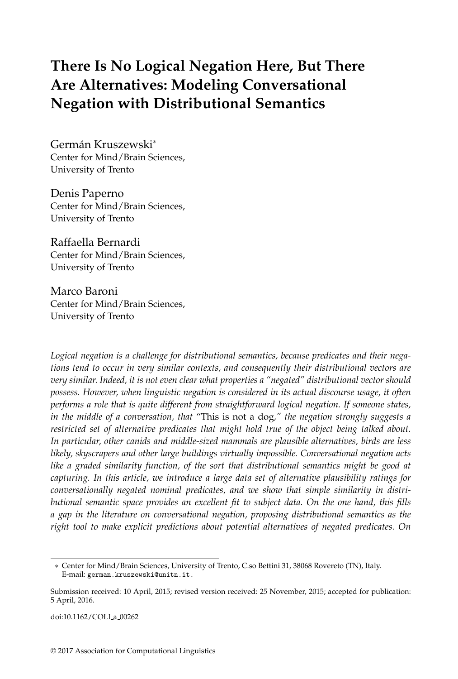# **There Is No Logical Negation Here, But There Are Alternatives: Modeling Conversational Negation with Distributional Semantics**

Germán Kruszewski<sup>\*</sup> Center for Mind/Brain Sciences, University of Trento

Denis Paperno Center for Mind/Brain Sciences, University of Trento

Raffaella Bernardi Center for Mind/Brain Sciences, University of Trento

Marco Baroni Center for Mind/Brain Sciences, University of Trento

*Logical negation is a challenge for distributional semantics, because predicates and their negations tend to occur in very similar contexts, and consequently their distributional vectors are very similar. Indeed, it is not even clear what properties a "negated" distributional vector should possess. However, when linguistic negation is considered in its actual discourse usage, it often performs a role that is quite different from straightforward logical negation. If someone states, in the middle of a conversation, that* "This is not a dog*," the negation strongly suggests a restricted set of alternative predicates that might hold true of the object being talked about. In particular, other canids and middle-sized mammals are plausible alternatives, birds are less likely, skyscrapers and other large buildings virtually impossible. Conversational negation acts like a graded similarity function, of the sort that distributional semantics might be good at capturing. In this article, we introduce a large data set of alternative plausibility ratings for conversationally negated nominal predicates, and we show that simple similarity in distributional semantic space provides an excellent fit to subject data. On the one hand, this fills a gap in the literature on conversational negation, proposing distributional semantics as the right tool to make explicit predictions about potential alternatives of negated predicates. On*

doi:10.1162/COLI a 00262

<sup>∗</sup> Center for Mind/Brain Sciences, University of Trento, C.so Bettini 31, 38068 Rovereto (TN), Italy. E-mail: german.kruszewski@unitn.it.

Submission received: 10 April, 2015; revised version received: 25 November, 2015; accepted for publication: 5 April, 2016.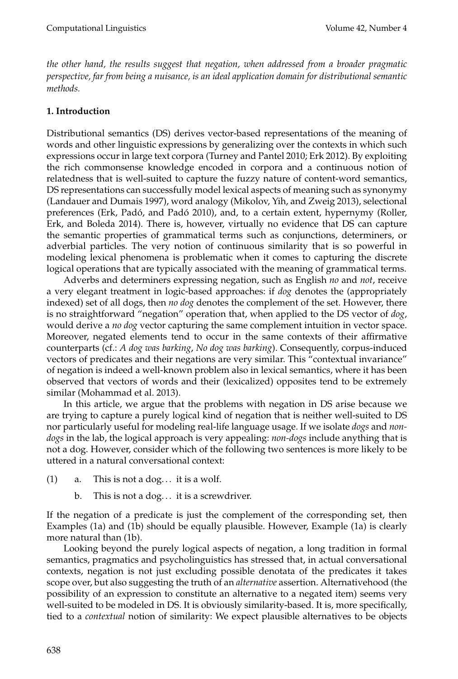*the other hand, the results suggest that negation, when addressed from a broader pragmatic perspective, far from being a nuisance, is an ideal application domain for distributional semantic methods.*

# **1. Introduction**

Distributional semantics (DS) derives vector-based representations of the meaning of words and other linguistic expressions by generalizing over the contexts in which such expressions occur in large text corpora (Turney and Pantel 2010; Erk 2012). By exploiting the rich commonsense knowledge encoded in corpora and a continuous notion of relatedness that is well-suited to capture the fuzzy nature of content-word semantics, DS representations can successfully model lexical aspects of meaning such as synonymy (Landauer and Dumais 1997), word analogy (Mikolov, Yih, and Zweig 2013), selectional preferences (Erk, Padó, and Padó 2010), and, to a certain extent, hypernymy (Roller, Erk, and Boleda 2014). There is, however, virtually no evidence that DS can capture the semantic properties of grammatical terms such as conjunctions, determiners, or adverbial particles. The very notion of continuous similarity that is so powerful in modeling lexical phenomena is problematic when it comes to capturing the discrete logical operations that are typically associated with the meaning of grammatical terms.

Adverbs and determiners expressing negation, such as English *no* and *not*, receive a very elegant treatment in logic-based approaches: if *dog* denotes the (appropriately indexed) set of all dogs, then *no dog* denotes the complement of the set. However, there is no straightforward "negation" operation that, when applied to the DS vector of *dog*, would derive a *no dog* vector capturing the same complement intuition in vector space. Moreover, negated elements tend to occur in the same contexts of their affirmative counterparts (cf.: *A dog was barking*, *No dog was barking*). Consequently, corpus-induced vectors of predicates and their negations are very similar. This "contextual invariance" of negation is indeed a well-known problem also in lexical semantics, where it has been observed that vectors of words and their (lexicalized) opposites tend to be extremely similar (Mohammad et al. 2013).

In this article, we argue that the problems with negation in DS arise because we are trying to capture a purely logical kind of negation that is neither well-suited to DS nor particularly useful for modeling real-life language usage. If we isolate *dogs* and *nondogs* in the lab, the logical approach is very appealing: *non-dogs* include anything that is not a dog. However, consider which of the following two sentences is more likely to be uttered in a natural conversational context:

- (1) a. This is not a dog... it is a wolf.
	- b. This is not a dog. . . it is a screwdriver.

If the negation of a predicate is just the complement of the corresponding set, then Examples (1a) and (1b) should be equally plausible. However, Example (1a) is clearly more natural than (1b).

Looking beyond the purely logical aspects of negation, a long tradition in formal semantics, pragmatics and psycholinguistics has stressed that, in actual conversational contexts, negation is not just excluding possible denotata of the predicates it takes scope over, but also suggesting the truth of an *alternative* assertion. Alternativehood (the possibility of an expression to constitute an alternative to a negated item) seems very well-suited to be modeled in DS. It is obviously similarity-based. It is, more specifically, tied to a *contextual* notion of similarity: We expect plausible alternatives to be objects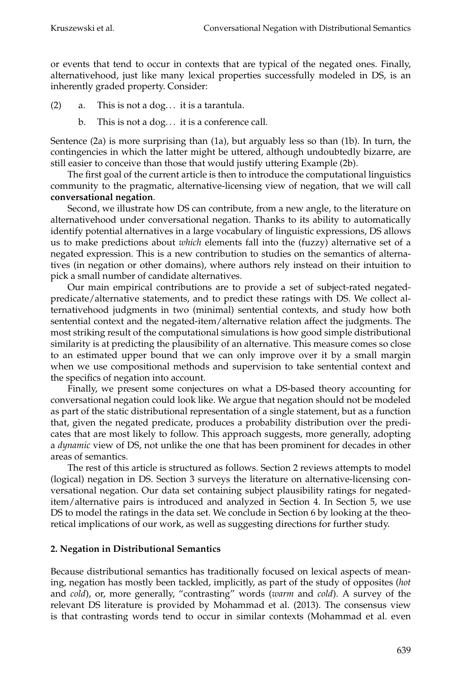or events that tend to occur in contexts that are typical of the negated ones. Finally, alternativehood, just like many lexical properties successfully modeled in DS, is an inherently graded property. Consider:

- $(2)$  a. This is not a dog... it is a tarantula.
	- b. This is not a dog. . . it is a conference call.

Sentence (2a) is more surprising than (1a), but arguably less so than (1b). In turn, the contingencies in which the latter might be uttered, although undoubtedly bizarre, are still easier to conceive than those that would justify uttering Example (2b).

The first goal of the current article is then to introduce the computational linguistics community to the pragmatic, alternative-licensing view of negation, that we will call **conversational negation**.

Second, we illustrate how DS can contribute, from a new angle, to the literature on alternativehood under conversational negation. Thanks to its ability to automatically identify potential alternatives in a large vocabulary of linguistic expressions, DS allows us to make predictions about *which* elements fall into the (fuzzy) alternative set of a negated expression. This is a new contribution to studies on the semantics of alternatives (in negation or other domains), where authors rely instead on their intuition to pick a small number of candidate alternatives.

Our main empirical contributions are to provide a set of subject-rated negatedpredicate/alternative statements, and to predict these ratings with DS. We collect alternativehood judgments in two (minimal) sentential contexts, and study how both sentential context and the negated-item/alternative relation affect the judgments. The most striking result of the computational simulations is how good simple distributional similarity is at predicting the plausibility of an alternative. This measure comes so close to an estimated upper bound that we can only improve over it by a small margin when we use compositional methods and supervision to take sentential context and the specifics of negation into account.

Finally, we present some conjectures on what a DS-based theory accounting for conversational negation could look like. We argue that negation should not be modeled as part of the static distributional representation of a single statement, but as a function that, given the negated predicate, produces a probability distribution over the predicates that are most likely to follow. This approach suggests, more generally, adopting a *dynamic* view of DS, not unlike the one that has been prominent for decades in other areas of semantics.

The rest of this article is structured as follows. Section 2 reviews attempts to model (logical) negation in DS. Section 3 surveys the literature on alternative-licensing conversational negation. Our data set containing subject plausibility ratings for negateditem/alternative pairs is introduced and analyzed in Section 4. In Section 5, we use DS to model the ratings in the data set. We conclude in Section 6 by looking at the theoretical implications of our work, as well as suggesting directions for further study.

# **2. Negation in Distributional Semantics**

Because distributional semantics has traditionally focused on lexical aspects of meaning, negation has mostly been tackled, implicitly, as part of the study of opposites (*hot* and *cold*), or, more generally, "contrasting" words (*warm* and *cold*). A survey of the relevant DS literature is provided by Mohammad et al. (2013). The consensus view is that contrasting words tend to occur in similar contexts (Mohammad et al. even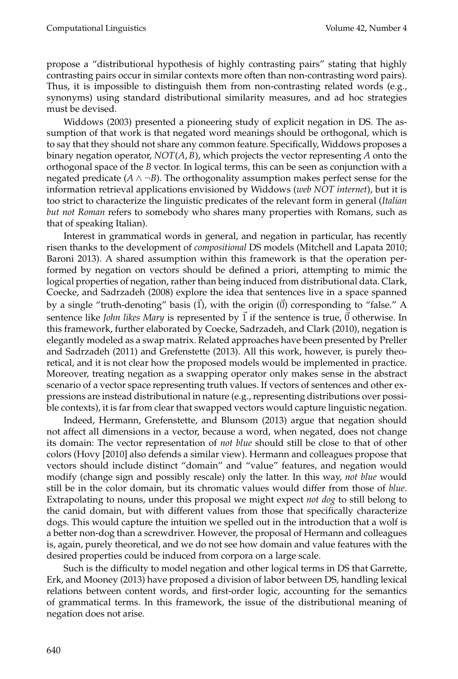propose a "distributional hypothesis of highly contrasting pairs" stating that highly contrasting pairs occur in similar contexts more often than non-contrasting word pairs). Thus, it is impossible to distinguish them from non-contrasting related words (e.g., synonyms) using standard distributional similarity measures, and ad hoc strategies must be devised.

Widdows (2003) presented a pioneering study of explicit negation in DS. The assumption of that work is that negated word meanings should be orthogonal, which is to say that they should not share any common feature. Specifically, Widdows proposes a binary negation operator, *NOT*(*A*, *B*), which projects the vector representing *A* onto the orthogonal space of the *B* vector. In logical terms, this can be seen as conjunction with a negated predicate  $(A \wedge \neg B)$ . The orthogonality assumption makes perfect sense for the information retrieval applications envisioned by Widdows (*web NOT internet*), but it is too strict to characterize the linguistic predicates of the relevant form in general (*Italian but not Roman* refers to somebody who shares many properties with Romans, such as that of speaking Italian).

Interest in grammatical words in general, and negation in particular, has recently risen thanks to the development of *compositional* DS models (Mitchell and Lapata 2010; Baroni 2013). A shared assumption within this framework is that the operation performed by negation on vectors should be defined a priori, attempting to mimic the logical properties of negation, rather than being induced from distributional data. Clark, Coecke, and Sadrzadeh (2008) explore the idea that sentences live in a space spanned by a single "truth-denoting" basis  $(\vec{1})$ , with the origin  $(\vec{0})$  corresponding to "false." A sentence like *John likes Mary* is represented by  $\vec{1}$  if the sentence is true,  $\vec{0}$  otherwise. In this framework, further elaborated by Coecke, Sadrzadeh, and Clark (2010), negation is elegantly modeled as a swap matrix. Related approaches have been presented by Preller and Sadrzadeh (2011) and Grefenstette (2013). All this work, however, is purely theoretical, and it is not clear how the proposed models would be implemented in practice. Moreover, treating negation as a swapping operator only makes sense in the abstract scenario of a vector space representing truth values. If vectors of sentences and other expressions are instead distributional in nature (e.g., representing distributions over possible contexts), it is far from clear that swapped vectors would capture linguistic negation.

Indeed, Hermann, Grefenstette, and Blunsom (2013) argue that negation should not affect all dimensions in a vector, because a word, when negated, does not change its domain: The vector representation of *not blue* should still be close to that of other colors (Hovy [2010] also defends a similar view). Hermann and colleagues propose that vectors should include distinct "domain" and "value" features, and negation would modify (change sign and possibly rescale) only the latter. In this way, *not blue* would still be in the color domain, but its chromatic values would differ from those of *blue*. Extrapolating to nouns, under this proposal we might expect *not dog* to still belong to the canid domain, but with different values from those that specifically characterize dogs. This would capture the intuition we spelled out in the introduction that a wolf is a better non-dog than a screwdriver. However, the proposal of Hermann and colleagues is, again, purely theoretical, and we do not see how domain and value features with the desired properties could be induced from corpora on a large scale.

Such is the difficulty to model negation and other logical terms in DS that Garrette, Erk, and Mooney (2013) have proposed a division of labor between DS, handling lexical relations between content words, and first-order logic, accounting for the semantics of grammatical terms. In this framework, the issue of the distributional meaning of negation does not arise.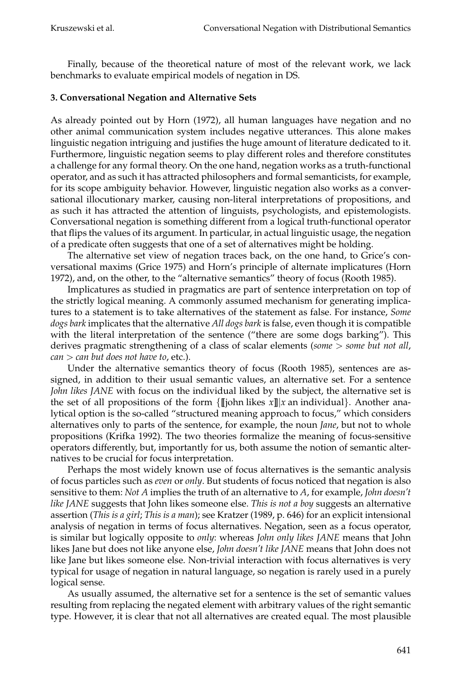Finally, because of the theoretical nature of most of the relevant work, we lack benchmarks to evaluate empirical models of negation in DS.

# **3. Conversational Negation and Alternative Sets**

As already pointed out by Horn (1972), all human languages have negation and no other animal communication system includes negative utterances. This alone makes linguistic negation intriguing and justifies the huge amount of literature dedicated to it. Furthermore, linguistic negation seems to play different roles and therefore constitutes a challenge for any formal theory. On the one hand, negation works as a truth-functional operator, and as such it has attracted philosophers and formal semanticists, for example, for its scope ambiguity behavior. However, linguistic negation also works as a conversational illocutionary marker, causing non-literal interpretations of propositions, and as such it has attracted the attention of linguists, psychologists, and epistemologists. Conversational negation is something different from a logical truth-functional operator that flips the values of its argument. In particular, in actual linguistic usage, the negation of a predicate often suggests that one of a set of alternatives might be holding.

The alternative set view of negation traces back, on the one hand, to Grice's conversational maxims (Grice 1975) and Horn's principle of alternate implicatures (Horn 1972), and, on the other, to the "alternative semantics" theory of focus (Rooth 1985).

Implicatures as studied in pragmatics are part of sentence interpretation on top of the strictly logical meaning. A commonly assumed mechanism for generating implicatures to a statement is to take alternatives of the statement as false. For instance, *Some dogs bark* implicates that the alternative *All dogs bark* is false, even though it is compatible with the literal interpretation of the sentence ("there are some dogs barking"). This derives pragmatic strengthening of a class of scalar elements (*some* > *some but not all*, *can* > *can but does not have to*, etc.).

Under the alternative semantics theory of focus (Rooth 1985), sentences are assigned, in addition to their usual semantic values, an alternative set. For a sentence *John likes JANE* with focus on the individual liked by the subject, the alternative set is the set of all propositions of the form {[[john likes *x*]]|*x* an individual}. Another analytical option is the so-called "structured meaning approach to focus," which considers alternatives only to parts of the sentence, for example, the noun *Jane*, but not to whole propositions (Krifka 1992). The two theories formalize the meaning of focus-sensitive operators differently, but, importantly for us, both assume the notion of semantic alternatives to be crucial for focus interpretation.

Perhaps the most widely known use of focus alternatives is the semantic analysis of focus particles such as *even* or *only*. But students of focus noticed that negation is also sensitive to them: *Not A* implies the truth of an alternative to *A*, for example, *John doesn't like JANE* suggests that John likes someone else. *This is not a boy* suggests an alternative assertion (*This is a girl*; *This is a man*); see Kratzer (1989, p. 646) for an explicit intensional analysis of negation in terms of focus alternatives. Negation, seen as a focus operator, is similar but logically opposite to *only*: whereas *John only likes JANE* means that John likes Jane but does not like anyone else, *John doesn't like JANE* means that John does not like Jane but likes someone else. Non-trivial interaction with focus alternatives is very typical for usage of negation in natural language, so negation is rarely used in a purely logical sense.

As usually assumed, the alternative set for a sentence is the set of semantic values resulting from replacing the negated element with arbitrary values of the right semantic type. However, it is clear that not all alternatives are created equal. The most plausible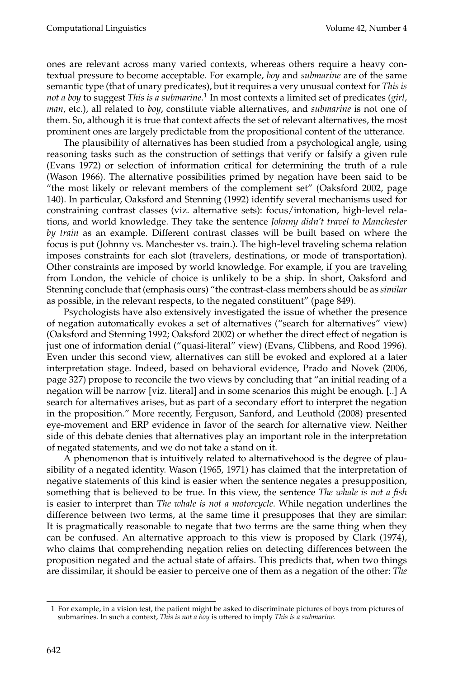ones are relevant across many varied contexts, whereas others require a heavy contextual pressure to become acceptable. For example, *boy* and *submarine* are of the same semantic type (that of unary predicates), but it requires a very unusual context for *This is not a boy* to suggest *This is a submarine*. 1 In most contexts a limited set of predicates (*girl*, *man*, etc.), all related to *boy*, constitute viable alternatives, and *submarine* is not one of them. So, although it is true that context affects the set of relevant alternatives, the most prominent ones are largely predictable from the propositional content of the utterance.

The plausibility of alternatives has been studied from a psychological angle, using reasoning tasks such as the construction of settings that verify or falsify a given rule (Evans 1972) or selection of information critical for determining the truth of a rule (Wason 1966). The alternative possibilities primed by negation have been said to be "the most likely or relevant members of the complement set" (Oaksford 2002, page 140). In particular, Oaksford and Stenning (1992) identify several mechanisms used for constraining contrast classes (viz. alternative sets): focus/intonation, high-level relations, and world knowledge. They take the sentence *Johnny didn't travel to Manchester by train* as an example. Different contrast classes will be built based on where the focus is put (Johnny vs. Manchester vs. train.). The high-level traveling schema relation imposes constraints for each slot (travelers, destinations, or mode of transportation). Other constraints are imposed by world knowledge. For example, if you are traveling from London, the vehicle of choice is unlikely to be a ship. In short, Oaksford and Stenning conclude that (emphasis ours) "the contrast-class members should be as *similar* as possible, in the relevant respects, to the negated constituent" (page 849).

Psychologists have also extensively investigated the issue of whether the presence of negation automatically evokes a set of alternatives ("search for alternatives" view) (Oaksford and Stenning 1992; Oaksford 2002) or whether the direct effect of negation is just one of information denial ("quasi-literal" view) (Evans, Clibbens, and Rood 1996). Even under this second view, alternatives can still be evoked and explored at a later interpretation stage. Indeed, based on behavioral evidence, Prado and Novek (2006, page 327) propose to reconcile the two views by concluding that "an initial reading of a negation will be narrow [viz. literal] and in some scenarios this might be enough. [..] A search for alternatives arises, but as part of a secondary effort to interpret the negation in the proposition." More recently, Ferguson, Sanford, and Leuthold (2008) presented eye-movement and ERP evidence in favor of the search for alternative view. Neither side of this debate denies that alternatives play an important role in the interpretation of negated statements, and we do not take a stand on it.

A phenomenon that is intuitively related to alternativehood is the degree of plausibility of a negated identity. Wason (1965, 1971) has claimed that the interpretation of negative statements of this kind is easier when the sentence negates a presupposition, something that is believed to be true. In this view, the sentence *The whale is not a fish* is easier to interpret than *The whale is not a motorcycle*. While negation underlines the difference between two terms, at the same time it presupposes that they are similar: It is pragmatically reasonable to negate that two terms are the same thing when they can be confused. An alternative approach to this view is proposed by Clark (1974), who claims that comprehending negation relies on detecting differences between the proposition negated and the actual state of affairs. This predicts that, when two things are dissimilar, it should be easier to perceive one of them as a negation of the other: *The*

<sup>1</sup> For example, in a vision test, the patient might be asked to discriminate pictures of boys from pictures of submarines. In such a context, *This is not a boy* is uttered to imply *This is a submarine*.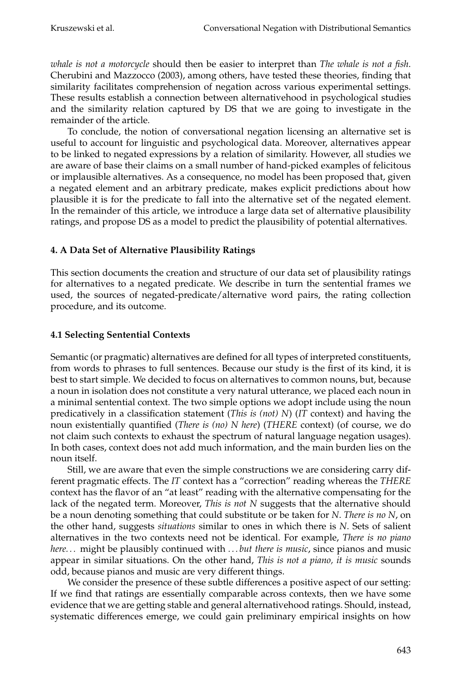*whale is not a motorcycle* should then be easier to interpret than *The whale is not a fish*. Cherubini and Mazzocco (2003), among others, have tested these theories, finding that similarity facilitates comprehension of negation across various experimental settings. These results establish a connection between alternativehood in psychological studies and the similarity relation captured by DS that we are going to investigate in the remainder of the article.

To conclude, the notion of conversational negation licensing an alternative set is useful to account for linguistic and psychological data. Moreover, alternatives appear to be linked to negated expressions by a relation of similarity. However, all studies we are aware of base their claims on a small number of hand-picked examples of felicitous or implausible alternatives. As a consequence, no model has been proposed that, given a negated element and an arbitrary predicate, makes explicit predictions about how plausible it is for the predicate to fall into the alternative set of the negated element. In the remainder of this article, we introduce a large data set of alternative plausibility ratings, and propose DS as a model to predict the plausibility of potential alternatives.

# **4. A Data Set of Alternative Plausibility Ratings**

This section documents the creation and structure of our data set of plausibility ratings for alternatives to a negated predicate. We describe in turn the sentential frames we used, the sources of negated-predicate/alternative word pairs, the rating collection procedure, and its outcome.

# **4.1 Selecting Sentential Contexts**

Semantic (or pragmatic) alternatives are defined for all types of interpreted constituents, from words to phrases to full sentences. Because our study is the first of its kind, it is best to start simple. We decided to focus on alternatives to common nouns, but, because a noun in isolation does not constitute a very natural utterance, we placed each noun in a minimal sentential context. The two simple options we adopt include using the noun predicatively in a classification statement (*This is (not) N*) (*IT* context) and having the noun existentially quantified (*There is (no) N here*) (*THERE* context) (of course, we do not claim such contexts to exhaust the spectrum of natural language negation usages). In both cases, context does not add much information, and the main burden lies on the noun itself.

Still, we are aware that even the simple constructions we are considering carry different pragmatic effects. The *IT* context has a "correction" reading whereas the *THERE* context has the flavor of an "at least" reading with the alternative compensating for the lack of the negated term. Moreover, *This is not N* suggests that the alternative should be a noun denoting something that could substitute or be taken for *N*. *There is no N*, on the other hand, suggests *situations* similar to ones in which there is *N*. Sets of salient alternatives in the two contexts need not be identical. For example, *There is no piano here. . .* might be plausibly continued with *. . . but there is music*, since pianos and music appear in similar situations. On the other hand, *This is not a piano, it is music* sounds odd, because pianos and music are very different things.

We consider the presence of these subtle differences a positive aspect of our setting: If we find that ratings are essentially comparable across contexts, then we have some evidence that we are getting stable and general alternativehood ratings. Should, instead, systematic differences emerge, we could gain preliminary empirical insights on how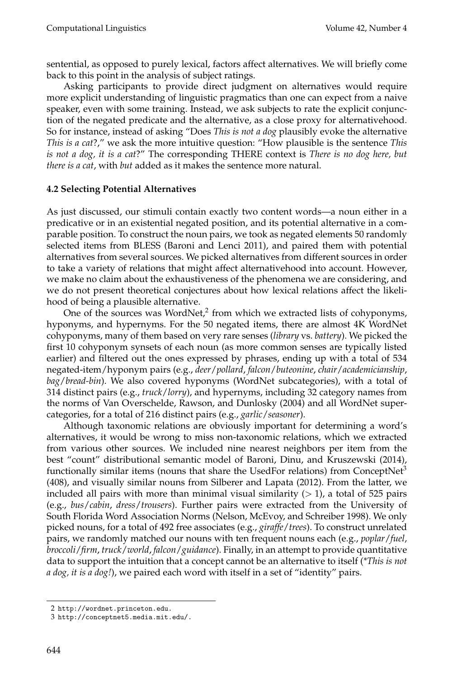sentential, as opposed to purely lexical, factors affect alternatives. We will briefly come back to this point in the analysis of subject ratings.

Asking participants to provide direct judgment on alternatives would require more explicit understanding of linguistic pragmatics than one can expect from a naive speaker, even with some training. Instead, we ask subjects to rate the explicit conjunction of the negated predicate and the alternative, as a close proxy for alternativehood. So for instance, instead of asking "Does *This is not a dog* plausibly evoke the alternative *This is a cat*?," we ask the more intuitive question: "How plausible is the sentence *This is not a dog, it is a cat*?" The corresponding THERE context is *There is no dog here, but there is a cat*, with *but* added as it makes the sentence more natural.

## **4.2 Selecting Potential Alternatives**

As just discussed, our stimuli contain exactly two content words—a noun either in a predicative or in an existential negated position, and its potential alternative in a comparable position. To construct the noun pairs, we took as negated elements 50 randomly selected items from BLESS (Baroni and Lenci 2011), and paired them with potential alternatives from several sources. We picked alternatives from different sources in order to take a variety of relations that might affect alternativehood into account. However, we make no claim about the exhaustiveness of the phenomena we are considering, and we do not present theoretical conjectures about how lexical relations affect the likelihood of being a plausible alternative.

One of the sources was WordNet,<sup>2</sup> from which we extracted lists of cohyponyms, hyponyms, and hypernyms. For the 50 negated items, there are almost 4K WordNet cohyponyms, many of them based on very rare senses (*library* vs. *battery*). We picked the first 10 cohyponym synsets of each noun (as more common senses are typically listed earlier) and filtered out the ones expressed by phrases, ending up with a total of 534 negated-item/hyponym pairs (e.g., *deer*/*pollard*, *falcon*/*buteonine*, *chair*/*academicianship*, *bag*/*bread-bin*). We also covered hyponyms (WordNet subcategories), with a total of 314 distinct pairs (e.g., *truck*/*lorry*), and hypernyms, including 32 category names from the norms of Van Overschelde, Rawson, and Dunlosky (2004) and all WordNet supercategories, for a total of 216 distinct pairs (e.g., *garlic*/*seasoner*).

Although taxonomic relations are obviously important for determining a word's alternatives, it would be wrong to miss non-taxonomic relations, which we extracted from various other sources. We included nine nearest neighbors per item from the best "count" distributional semantic model of Baroni, Dinu, and Kruszewski (2014), functionally similar items (nouns that share the UsedFor relations) from Concept $Net<sup>3</sup>$ (408), and visually similar nouns from Silberer and Lapata (2012). From the latter, we included all pairs with more than minimal visual similarity  $(> 1)$ , a total of 525 pairs (e.g., *bus*/*cabin*, *dress*/*trousers*). Further pairs were extracted from the University of South Florida Word Association Norms (Nelson, McEvoy, and Schreiber 1998). We only picked nouns, for a total of 492 free associates (e.g., *giraffe*/*trees*). To construct unrelated pairs, we randomly matched our nouns with ten frequent nouns each (e.g., *poplar*/*fuel*, *broccoli*/*firm*, *truck*/*world*, *falcon*/*guidance*). Finally, in an attempt to provide quantitative data to support the intuition that a concept cannot be an alternative to itself (*\*This is not a dog, it is a dog!*), we paired each word with itself in a set of "identity" pairs.

<sup>2</sup> http://wordnet.princeton.edu.

<sup>3</sup> http://conceptnet5.media.mit.edu/.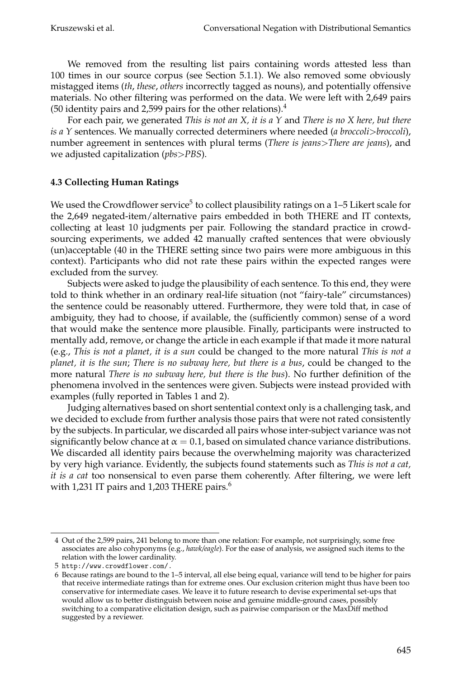We removed from the resulting list pairs containing words attested less than 100 times in our source corpus (see Section 5.1.1). We also removed some obviously mistagged items (*th*, *these*, *others* incorrectly tagged as nouns), and potentially offensive materials. No other filtering was performed on the data. We were left with 2,649 pairs (50 identity pairs and 2,599 pairs for the other relations). $4$ 

For each pair, we generated *This is not an X, it is a Y* and *There is no X here, but there is a Y* sentences. We manually corrected determiners where needed (*a broccoli*>*broccoli*), number agreement in sentences with plural terms (*There is jeans*>*There are jeans*), and we adjusted capitalization (*pbs*>*PBS*).

# **4.3 Collecting Human Ratings**

We used the Crowdflower service<sup>5</sup> to collect plausibility ratings on a 1–5 Likert scale for the 2,649 negated-item/alternative pairs embedded in both THERE and IT contexts, collecting at least 10 judgments per pair. Following the standard practice in crowdsourcing experiments, we added 42 manually crafted sentences that were obviously (un)acceptable (40 in the THERE setting since two pairs were more ambiguous in this context). Participants who did not rate these pairs within the expected ranges were excluded from the survey.

Subjects were asked to judge the plausibility of each sentence. To this end, they were told to think whether in an ordinary real-life situation (not "fairy-tale" circumstances) the sentence could be reasonably uttered. Furthermore, they were told that, in case of ambiguity, they had to choose, if available, the (sufficiently common) sense of a word that would make the sentence more plausible. Finally, participants were instructed to mentally add, remove, or change the article in each example if that made it more natural (e.g., *This is not a planet, it is a sun* could be changed to the more natural *This is not a planet, it is the sun*; *There is no subway here, but there is a bus*, could be changed to the more natural *There is no subway here, but there is the bus*). No further definition of the phenomena involved in the sentences were given. Subjects were instead provided with examples (fully reported in Tables 1 and 2).

Judging alternatives based on short sentential context only is a challenging task, and we decided to exclude from further analysis those pairs that were not rated consistently by the subjects. In particular, we discarded all pairs whose inter-subject variance was not significantly below chance at  $\alpha = 0.1$ , based on simulated chance variance distributions. We discarded all identity pairs because the overwhelming majority was characterized by very high variance. Evidently, the subjects found statements such as *This is not a cat, it is a cat* too nonsensical to even parse them coherently. After filtering, we were left with 1,231 IT pairs and 1,203 THERE pairs.<sup>6</sup>

<sup>4</sup> Out of the 2,599 pairs, 241 belong to more than one relation: For example, not surprisingly, some free associates are also cohyponyms (e.g., *hawk/eagle*). For the ease of analysis, we assigned such items to the relation with the lower cardinality.

<sup>5</sup> http://www.crowdflower.com/.

<sup>6</sup> Because ratings are bound to the 1–5 interval, all else being equal, variance will tend to be higher for pairs that receive intermediate ratings than for extreme ones. Our exclusion criterion might thus have been too conservative for intermediate cases. We leave it to future research to devise experimental set-ups that would allow us to better distinguish between noise and genuine middle-ground cases, possibly switching to a comparative elicitation design, such as pairwise comparison or the MaxDiff method suggested by a reviewer.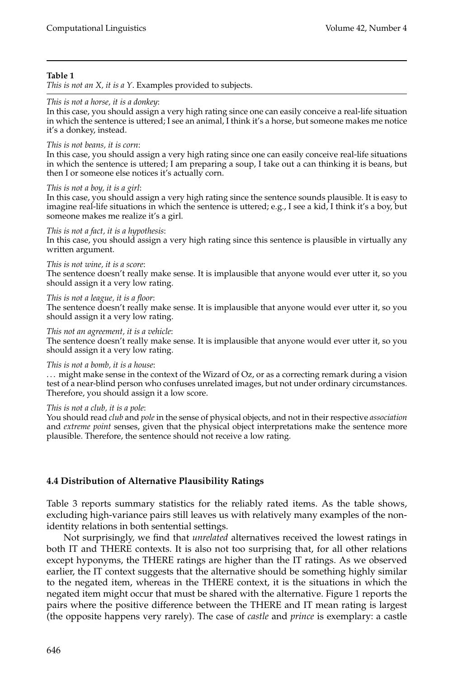*This is not an X, it is a Y*. Examples provided to subjects.

#### *This is not a horse, it is a donkey*:

In this case, you should assign a very high rating since one can easily conceive a real-life situation in which the sentence is uttered; I see an animal, I think it's a horse, but someone makes me notice it's a donkey, instead.

#### *This is not beans, it is corn*:

In this case, you should assign a very high rating since one can easily conceive real-life situations in which the sentence is uttered; I am preparing a soup, I take out a can thinking it is beans, but then I or someone else notices it's actually corn.

#### *This is not a boy, it is a girl*:

In this case, you should assign a very high rating since the sentence sounds plausible. It is easy to imagine real-life situations in which the sentence is uttered; e.g., I see a kid, I think it's a boy, but someone makes me realize it's a girl.

#### *This is not a fact, it is a hypothesis*:

In this case, you should assign a very high rating since this sentence is plausible in virtually any written argument.

#### *This is not wine, it is a score*:

The sentence doesn't really make sense. It is implausible that anyone would ever utter it, so you should assign it a very low rating.

#### *This is not a league, it is a floor*:

The sentence doesn't really make sense. It is implausible that anyone would ever utter it, so you should assign it a very low rating.

#### *This not an agreement, it is a vehicle*:

The sentence doesn't really make sense. It is implausible that anyone would ever utter it, so you should assign it a very low rating.

#### *This is not a bomb, it is a house*:

... might make sense in the context of the Wizard of Oz, or as a correcting remark during a vision test of a near-blind person who confuses unrelated images, but not under ordinary circumstances. Therefore, you should assign it a low score.

#### *This is not a club, it is a pole*:

You should read *club* and *pole* in the sense of physical objects, and not in their respective *association* and *extreme point* senses, given that the physical object interpretations make the sentence more plausible. Therefore, the sentence should not receive a low rating.

## **4.4 Distribution of Alternative Plausibility Ratings**

Table 3 reports summary statistics for the reliably rated items. As the table shows, excluding high-variance pairs still leaves us with relatively many examples of the nonidentity relations in both sentential settings.

Not surprisingly, we find that *unrelated* alternatives received the lowest ratings in both IT and THERE contexts. It is also not too surprising that, for all other relations except hyponyms, the THERE ratings are higher than the IT ratings. As we observed earlier, the IT context suggests that the alternative should be something highly similar to the negated item, whereas in the THERE context, it is the situations in which the negated item might occur that must be shared with the alternative. Figure 1 reports the pairs where the positive difference between the THERE and IT mean rating is largest (the opposite happens very rarely). The case of *castle* and *prince* is exemplary: a castle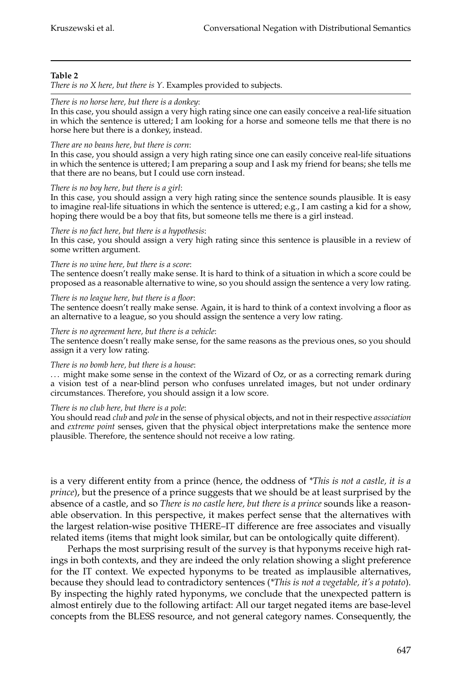*There is no X here, but there is Y*. Examples provided to subjects.

#### *There is no horse here, but there is a donkey*:

In this case, you should assign a very high rating since one can easily conceive a real-life situation in which the sentence is uttered; I am looking for a horse and someone tells me that there is no horse here but there is a donkey, instead.

#### *There are no beans here, but there is corn*:

In this case, you should assign a very high rating since one can easily conceive real-life situations in which the sentence is uttered; I am preparing a soup and I ask my friend for beans; she tells me that there are no beans, but I could use corn instead.

#### *There is no boy here, but there is a girl*:

In this case, you should assign a very high rating since the sentence sounds plausible. It is easy to imagine real-life situations in which the sentence is uttered; e.g., I am casting a kid for a show, hoping there would be a boy that fits, but someone tells me there is a girl instead.

#### *There is no fact here, but there is a hypothesis*:

In this case, you should assign a very high rating since this sentence is plausible in a review of some written argument.

#### *There is no wine here, but there is a score*:

The sentence doesn't really make sense. It is hard to think of a situation in which a score could be proposed as a reasonable alternative to wine, so you should assign the sentence a very low rating.

#### *There is no league here, but there is a floor*:

The sentence doesn't really make sense. Again, it is hard to think of a context involving a floor as an alternative to a league, so you should assign the sentence a very low rating.

#### *There is no agreement here, but there is a vehicle*:

The sentence doesn't really make sense, for the same reasons as the previous ones, so you should assign it a very low rating.

#### *There is no bomb here, but there is a house*:

... might make some sense in the context of the Wizard of Oz, or as a correcting remark during a vision test of a near-blind person who confuses unrelated images, but not under ordinary circumstances. Therefore, you should assign it a low score.

#### *There is no club here, but there is a pole*:

You should read *club* and *pole* in the sense of physical objects, and not in their respective *association* and *extreme point* senses, given that the physical object interpretations make the sentence more plausible. Therefore, the sentence should not receive a low rating.

is a very different entity from a prince (hence, the oddness of *\*This is not a castle, it is a prince*), but the presence of a prince suggests that we should be at least surprised by the absence of a castle, and so *There is no castle here, but there is a prince* sounds like a reasonable observation. In this perspective, it makes perfect sense that the alternatives with the largest relation-wise positive THERE–IT difference are free associates and visually related items (items that might look similar, but can be ontologically quite different).

Perhaps the most surprising result of the survey is that hyponyms receive high ratings in both contexts, and they are indeed the only relation showing a slight preference for the IT context. We expected hyponyms to be treated as implausible alternatives, because they should lead to contradictory sentences (*\*This is not a vegetable, it's a potato*). By inspecting the highly rated hyponyms, we conclude that the unexpected pattern is almost entirely due to the following artifact: All our target negated items are base-level concepts from the BLESS resource, and not general category names. Consequently, the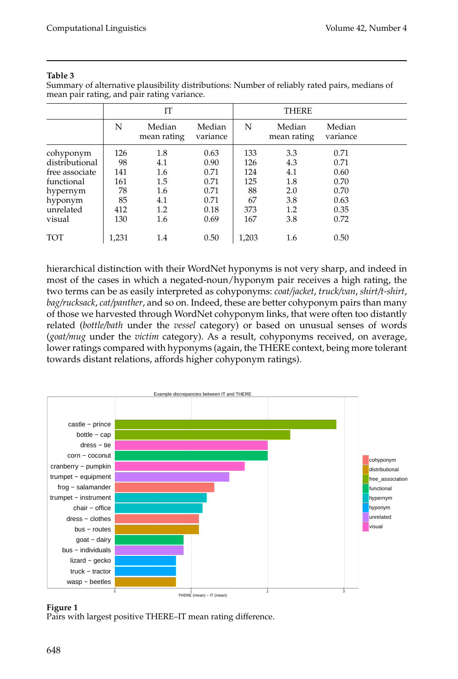Summary of alternative plausibility distributions: Number of reliably rated pairs, medians of mean pair rating, and pair rating variance.

|                | <b>IT</b> |                       |                    | <b>THERE</b> |                       |                    |  |
|----------------|-----------|-----------------------|--------------------|--------------|-----------------------|--------------------|--|
|                | N         | Median<br>mean rating | Median<br>variance | N            | Median<br>mean rating | Median<br>variance |  |
| cohyponym      | 126       | 1.8                   | 0.63               | 133          | 3.3                   | 0.71               |  |
| distributional | 98        | 4.1                   | 0.90               | 126          | 4.3                   | 0.71               |  |
| free associate | 141       | 1.6                   | 0.71               | 124          | 4.1                   | 0.60               |  |
| functional     | 161       | 1.5                   | 0.71               | 125          | 1.8                   | 0.70               |  |
| hypernym       | 78        | 1.6                   | 0.71               | 88           | 2.0                   | 0.70               |  |
| hyponym        | 85        | 4.1                   | 0.71               | 67           | 3.8                   | 0.63               |  |
| unrelated      | 412       | 1.2                   | 0.18               | 373          | 1.2                   | 0.35               |  |
| visual         | 130       | 1.6                   | 0.69               | 167          | 3.8                   | 0.72               |  |
| <b>TOT</b>     | 1,231     | 1.4                   | 0.50               | 1,203        | 1.6                   | 0.50               |  |

hierarchical distinction with their WordNet hyponyms is not very sharp, and indeed in most of the cases in which a negated-noun/hyponym pair receives a high rating, the two terms can be as easily interpreted as cohyponyms: *coat/jacket*, *truck/van*, *shirt/t-shirt*, *bag/rucksack*, *cat/panther*, and so on. Indeed, these are better cohyponym pairs than many of those we harvested through WordNet cohyponym links, that were often too distantly related (*bottle/bath* under the *vessel* category) or based on unusual senses of words (*goat/mug* under the *victim* category). As a result, cohyponyms received, on average, lower ratings compared with hyponyms (again, the THERE context, being more tolerant towards distant relations, affords higher cohyponym ratings).



#### **Figure 1** Pairs with largest positive THERE–IT mean rating difference.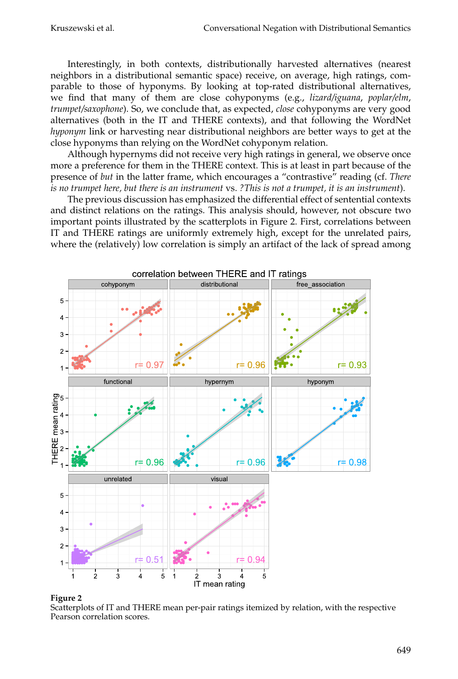Interestingly, in both contexts, distributionally harvested alternatives (nearest neighbors in a distributional semantic space) receive, on average, high ratings, comparable to those of hyponyms. By looking at top-rated distributional alternatives, we find that many of them are close cohyponyms (e.g., *lizard/iguana*, *poplar/elm*, *trumpet/saxophone*). So, we conclude that, as expected, *close* cohyponyms are very good alternatives (both in the IT and THERE contexts), and that following the WordNet *hyponym* link or harvesting near distributional neighbors are better ways to get at the close hyponyms than relying on the WordNet cohyponym relation.

Although hypernyms did not receive very high ratings in general, we observe once more a preference for them in the THERE context. This is at least in part because of the presence of *but* in the latter frame, which encourages a "contrastive" reading (cf. *There is no trumpet here, but there is an instrument* vs. *?This is not a trumpet, it is an instrument*).

The previous discussion has emphasized the differential effect of sentential contexts and distinct relations on the ratings. This analysis should, however, not obscure two important points illustrated by the scatterplots in Figure 2. First, correlations between IT and THERE ratings are uniformly extremely high, except for the unrelated pairs, where the (relatively) low correlation is simply an artifact of the lack of spread among



#### **Figure 2**

Scatterplots of IT and THERE mean per-pair ratings itemized by relation, with the respective Pearson correlation scores.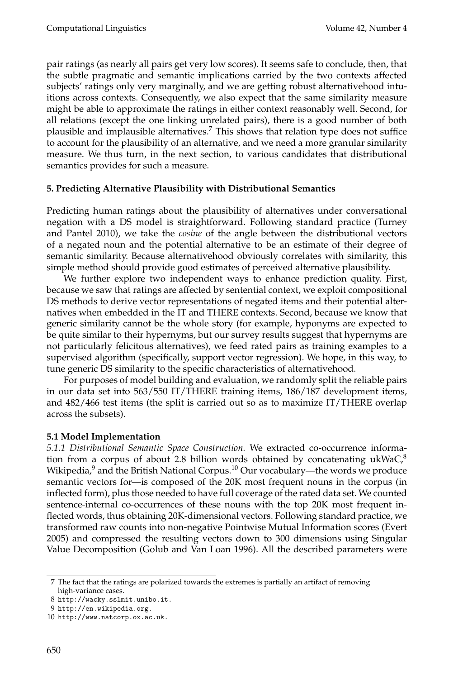pair ratings (as nearly all pairs get very low scores). It seems safe to conclude, then, that the subtle pragmatic and semantic implications carried by the two contexts affected subjects' ratings only very marginally, and we are getting robust alternativehood intuitions across contexts. Consequently, we also expect that the same similarity measure might be able to approximate the ratings in either context reasonably well. Second, for all relations (except the one linking unrelated pairs), there is a good number of both plausible and implausible alternatives.<sup>7</sup> This shows that relation type does not suffice to account for the plausibility of an alternative, and we need a more granular similarity measure. We thus turn, in the next section, to various candidates that distributional semantics provides for such a measure.

## **5. Predicting Alternative Plausibility with Distributional Semantics**

Predicting human ratings about the plausibility of alternatives under conversational negation with a DS model is straightforward. Following standard practice (Turney and Pantel 2010), we take the *cosine* of the angle between the distributional vectors of a negated noun and the potential alternative to be an estimate of their degree of semantic similarity. Because alternativehood obviously correlates with similarity, this simple method should provide good estimates of perceived alternative plausibility.

We further explore two independent ways to enhance prediction quality. First, because we saw that ratings are affected by sentential context, we exploit compositional DS methods to derive vector representations of negated items and their potential alternatives when embedded in the IT and THERE contexts. Second, because we know that generic similarity cannot be the whole story (for example, hyponyms are expected to be quite similar to their hypernyms, but our survey results suggest that hypernyms are not particularly felicitous alternatives), we feed rated pairs as training examples to a supervised algorithm (specifically, support vector regression). We hope, in this way, to tune generic DS similarity to the specific characteristics of alternativehood.

For purposes of model building and evaluation, we randomly split the reliable pairs in our data set into 563/550 IT/THERE training items, 186/187 development items, and 482/466 test items (the split is carried out so as to maximize IT/THERE overlap across the subsets).

## **5.1 Model Implementation**

*5.1.1 Distributional Semantic Space Construction.* We extracted co-occurrence information from a corpus of about 2.8 billion words obtained by concatenating  $ukWaC<sub>o</sub><sup>8</sup>$ Wikipedia, $^9$  and the British National Corpus. $^{10}$  Our vocabulary—the words we produce semantic vectors for—is composed of the 20K most frequent nouns in the corpus (in inflected form), plus those needed to have full coverage of the rated data set. We counted sentence-internal co-occurrences of these nouns with the top 20K most frequent inflected words, thus obtaining 20K-dimensional vectors. Following standard practice, we transformed raw counts into non-negative Pointwise Mutual Information scores (Evert 2005) and compressed the resulting vectors down to 300 dimensions using Singular Value Decomposition (Golub and Van Loan 1996). All the described parameters were

<sup>7</sup> The fact that the ratings are polarized towards the extremes is partially an artifact of removing high-variance cases.

<sup>8</sup> http://wacky.sslmit.unibo.it.

<sup>9</sup> http://en.wikipedia.org.

<sup>10</sup> http://www.natcorp.ox.ac.uk.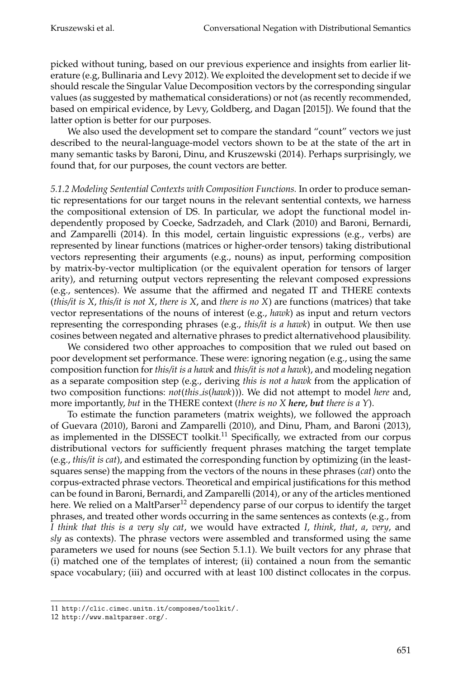picked without tuning, based on our previous experience and insights from earlier literature (e.g, Bullinaria and Levy 2012). We exploited the development set to decide if we should rescale the Singular Value Decomposition vectors by the corresponding singular values (as suggested by mathematical considerations) or not (as recently recommended, based on empirical evidence, by Levy, Goldberg, and Dagan [2015]). We found that the latter option is better for our purposes.

We also used the development set to compare the standard "count" vectors we just described to the neural-language-model vectors shown to be at the state of the art in many semantic tasks by Baroni, Dinu, and Kruszewski (2014). Perhaps surprisingly, we found that, for our purposes, the count vectors are better.

*5.1.2 Modeling Sentential Contexts with Composition Functions.* In order to produce semantic representations for our target nouns in the relevant sentential contexts, we harness the compositional extension of DS. In particular, we adopt the functional model independently proposed by Coecke, Sadrzadeh, and Clark (2010) and Baroni, Bernardi, and Zamparelli (2014). In this model, certain linguistic expressions (e.g., verbs) are represented by linear functions (matrices or higher-order tensors) taking distributional vectors representing their arguments (e.g., nouns) as input, performing composition by matrix-by-vector multiplication (or the equivalent operation for tensors of larger arity), and returning output vectors representing the relevant composed expressions (e.g., sentences). We assume that the affirmed and negated IT and THERE contexts (*this/it is X*, *this/it is not X*, *there is X*, and *there is no X*) are functions (matrices) that take vector representations of the nouns of interest (e.g., *hawk*) as input and return vectors representing the corresponding phrases (e.g., *this/it is a hawk*) in output. We then use cosines between negated and alternative phrases to predict alternativehood plausibility.

We considered two other approaches to composition that we ruled out based on poor development set performance. These were: ignoring negation (e.g., using the same composition function for *this/it is a hawk* and *this/it is not a hawk*), and modeling negation as a separate composition step (e.g., deriving *this is not a hawk* from the application of two composition functions: *not*(*this is*(*hawk*))). We did not attempt to model *here* and, more importantly, *but* in the THERE context (*there is no X here, but there is a Y*).

To estimate the function parameters (matrix weights), we followed the approach of Guevara (2010), Baroni and Zamparelli (2010), and Dinu, Pham, and Baroni (2013), as implemented in the DISSECT toolkit.<sup>11</sup> Specifically, we extracted from our corpus distributional vectors for sufficiently frequent phrases matching the target template (e.g., *this/it is cat*), and estimated the corresponding function by optimizing (in the leastsquares sense) the mapping from the vectors of the nouns in these phrases (*cat*) onto the corpus-extracted phrase vectors. Theoretical and empirical justifications for this method can be found in Baroni, Bernardi, and Zamparelli (2014), or any of the articles mentioned here. We relied on a MaltParser<sup>12</sup> dependency parse of our corpus to identify the target phrases, and treated other words occurring in the same sentences as contexts (e.g., from *I think that this is a very sly cat*, we would have extracted *I*, *think*, *that*, *a*, *very*, and *sly* as contexts). The phrase vectors were assembled and transformed using the same parameters we used for nouns (see Section 5.1.1). We built vectors for any phrase that (i) matched one of the templates of interest; (ii) contained a noun from the semantic space vocabulary; (iii) and occurred with at least 100 distinct collocates in the corpus.

<sup>11</sup> http://clic.cimec.unitn.it/composes/toolkit/.

<sup>12</sup> http://www.maltparser.org/.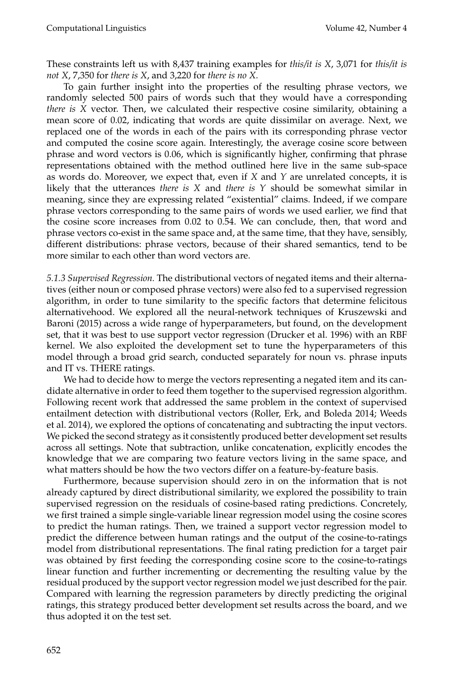These constraints left us with 8,437 training examples for *this/it is X*, 3,071 for *this/it is not X*, 7,350 for *there is X*, and 3,220 for *there is no X*.

To gain further insight into the properties of the resulting phrase vectors, we randomly selected 500 pairs of words such that they would have a corresponding *there is X* vector. Then, we calculated their respective cosine similarity, obtaining a mean score of 0.02, indicating that words are quite dissimilar on average. Next, we replaced one of the words in each of the pairs with its corresponding phrase vector and computed the cosine score again. Interestingly, the average cosine score between phrase and word vectors is 0.06, which is significantly higher, confirming that phrase representations obtained with the method outlined here live in the same sub-space as words do. Moreover, we expect that, even if *X* and *Y* are unrelated concepts, it is likely that the utterances *there is X* and *there is Y* should be somewhat similar in meaning, since they are expressing related "existential" claims. Indeed, if we compare phrase vectors corresponding to the same pairs of words we used earlier, we find that the cosine score increases from 0.02 to 0.54. We can conclude, then, that word and phrase vectors co-exist in the same space and, at the same time, that they have, sensibly, different distributions: phrase vectors, because of their shared semantics, tend to be more similar to each other than word vectors are.

*5.1.3 Supervised Regression.* The distributional vectors of negated items and their alternatives (either noun or composed phrase vectors) were also fed to a supervised regression algorithm, in order to tune similarity to the specific factors that determine felicitous alternativehood. We explored all the neural-network techniques of Kruszewski and Baroni (2015) across a wide range of hyperparameters, but found, on the development set, that it was best to use support vector regression (Drucker et al. 1996) with an RBF kernel. We also exploited the development set to tune the hyperparameters of this model through a broad grid search, conducted separately for noun vs. phrase inputs and IT vs. THERE ratings.

We had to decide how to merge the vectors representing a negated item and its candidate alternative in order to feed them together to the supervised regression algorithm. Following recent work that addressed the same problem in the context of supervised entailment detection with distributional vectors (Roller, Erk, and Boleda 2014; Weeds et al. 2014), we explored the options of concatenating and subtracting the input vectors. We picked the second strategy as it consistently produced better development set results across all settings. Note that subtraction, unlike concatenation, explicitly encodes the knowledge that we are comparing two feature vectors living in the same space, and what matters should be how the two vectors differ on a feature-by-feature basis.

Furthermore, because supervision should zero in on the information that is not already captured by direct distributional similarity, we explored the possibility to train supervised regression on the residuals of cosine-based rating predictions. Concretely, we first trained a simple single-variable linear regression model using the cosine scores to predict the human ratings. Then, we trained a support vector regression model to predict the difference between human ratings and the output of the cosine-to-ratings model from distributional representations. The final rating prediction for a target pair was obtained by first feeding the corresponding cosine score to the cosine-to-ratings linear function and further incrementing or decrementing the resulting value by the residual produced by the support vector regression model we just described for the pair. Compared with learning the regression parameters by directly predicting the original ratings, this strategy produced better development set results across the board, and we thus adopted it on the test set.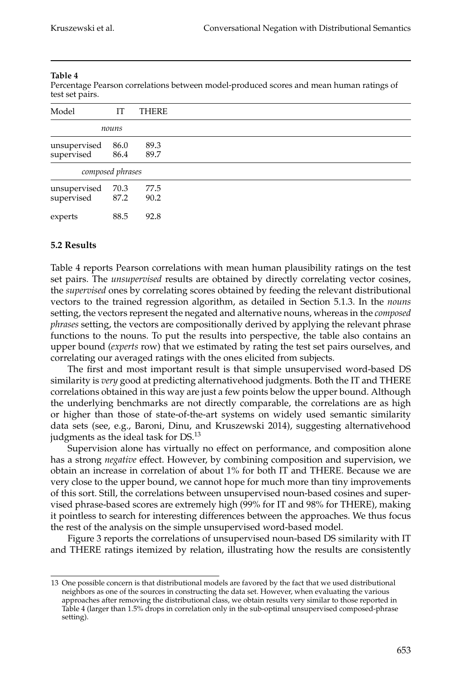Percentage Pearson correlations between model-produced scores and mean human ratings of test set pairs.

| Model                           | IT               | <b>THERE</b> |
|---------------------------------|------------------|--------------|
|                                 | nouns            |              |
| unsupervised<br>supervised      | 86.0<br>86.4     | 89.3<br>89.7 |
|                                 | composed phrases |              |
| unsupervised<br>supervised 87.2 | 70.3             | 77.5<br>90.2 |
| experts                         | 88.5             | 92.8         |

## **5.2 Results**

Table 4 reports Pearson correlations with mean human plausibility ratings on the test set pairs. The *unsupervised* results are obtained by directly correlating vector cosines, the *supervised* ones by correlating scores obtained by feeding the relevant distributional vectors to the trained regression algorithm, as detailed in Section 5.1.3. In the *nouns* setting, the vectors represent the negated and alternative nouns, whereas in the *composed phrases* setting, the vectors are compositionally derived by applying the relevant phrase functions to the nouns. To put the results into perspective, the table also contains an upper bound (*experts* row) that we estimated by rating the test set pairs ourselves, and correlating our averaged ratings with the ones elicited from subjects.

The first and most important result is that simple unsupervised word-based DS similarity is *very* good at predicting alternativehood judgments. Both the IT and THERE correlations obtained in this way are just a few points below the upper bound. Although the underlying benchmarks are not directly comparable, the correlations are as high or higher than those of state-of-the-art systems on widely used semantic similarity data sets (see, e.g., Baroni, Dinu, and Kruszewski 2014), suggesting alternativehood judgments as the ideal task for DS.<sup>13</sup>

Supervision alone has virtually no effect on performance, and composition alone has a strong *negative* effect. However, by combining composition and supervision, we obtain an increase in correlation of about 1% for both IT and THERE. Because we are very close to the upper bound, we cannot hope for much more than tiny improvements of this sort. Still, the correlations between unsupervised noun-based cosines and supervised phrase-based scores are extremely high (99% for IT and 98% for THERE), making it pointless to search for interesting differences between the approaches. We thus focus the rest of the analysis on the simple unsupervised word-based model.

Figure 3 reports the correlations of unsupervised noun-based DS similarity with IT and THERE ratings itemized by relation, illustrating how the results are consistently

<sup>13</sup> One possible concern is that distributional models are favored by the fact that we used distributional neighbors as one of the sources in constructing the data set. However, when evaluating the various approaches after removing the distributional class, we obtain results very similar to those reported in Table 4 (larger than 1.5% drops in correlation only in the sub-optimal unsupervised composed-phrase setting).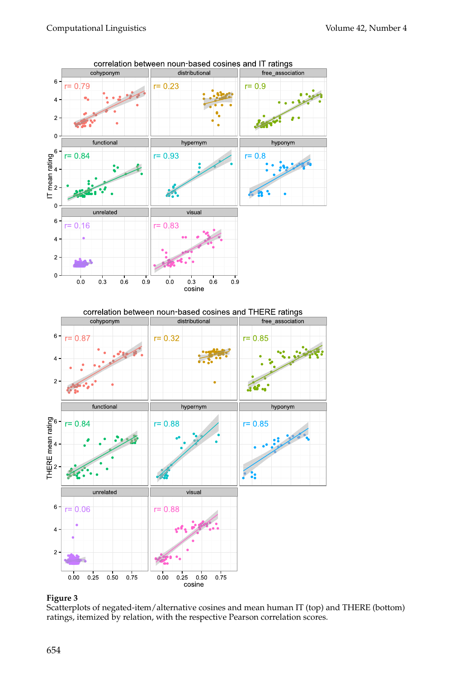

#### **Figure 3**

Scatterplots of negated-item/alternative cosines and mean human IT (top) and THERE (bottom) ratings, itemized by relation, with the respective Pearson correlation scores.

 $\overline{\text{cosine}}$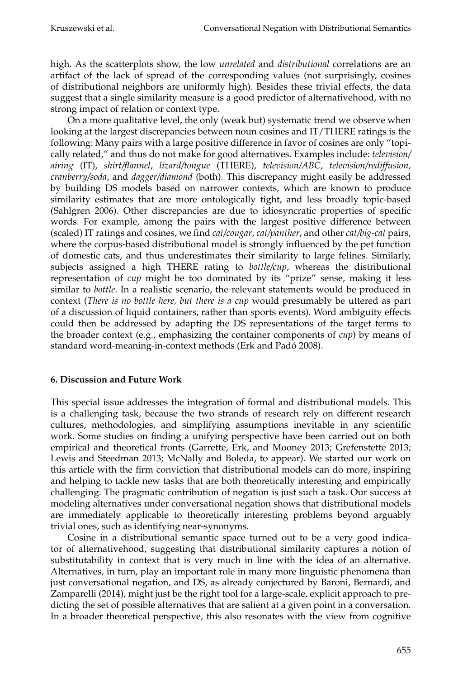high. As the scatterplots show, the low *unrelated* and *distributional* correlations are an artifact of the lack of spread of the corresponding values (not surprisingly, cosines of distributional neighbors are uniformly high). Besides these trivial effects, the data suggest that a single similarity measure is a good predictor of alternativehood, with no strong impact of relation or context type.

On a more qualitative level, the only (weak but) systematic trend we observe when looking at the largest discrepancies between noun cosines and IT/THERE ratings is the following: Many pairs with a large positive difference in favor of cosines are only "topically related," and thus do not make for good alternatives. Examples include: *television/ airing* (IT), *shirt/flannel*, *lizard/tongue* (THERE), *television/ABC*, *television/rediffusion*, *cranberry/soda*, and *dagger/diamond* (both). This discrepancy might easily be addressed by building DS models based on narrower contexts, which are known to produce similarity estimates that are more ontologically tight, and less broadly topic-based (Sahlgren 2006). Other discrepancies are due to idiosyncratic properties of specific words. For example, among the pairs with the largest positive difference between (scaled) IT ratings and cosines, we find *cat/cougar*, *cat/panther*, and other *cat/big-cat* pairs, where the corpus-based distributional model is strongly influenced by the pet function of domestic cats, and thus underestimates their similarity to large felines. Similarly, subjects assigned a high THERE rating to *bottle/cup*, whereas the distributional representation of *cup* might be too dominated by its "prize" sense, making it less similar to *bottle*. In a realistic scenario, the relevant statements would be produced in context (*There is no bottle here, but there is a cup* would presumably be uttered as part of a discussion of liquid containers, rather than sports events). Word ambiguity effects could then be addressed by adapting the DS representations of the target terms to the broader context (e.g., emphasizing the container components of *cup*) by means of standard word-meaning-in-context methods (Erk and Padó 2008).

# **6. Discussion and Future Work**

This special issue addresses the integration of formal and distributional models. This is a challenging task, because the two strands of research rely on different research cultures, methodologies, and simplifying assumptions inevitable in any scientific work. Some studies on finding a unifying perspective have been carried out on both empirical and theoretical fronts (Garrette, Erk, and Mooney 2013; Grefenstette 2013; Lewis and Steedman 2013; McNally and Boleda, to appear). We started our work on this article with the firm conviction that distributional models can do more, inspiring and helping to tackle new tasks that are both theoretically interesting and empirically challenging. The pragmatic contribution of negation is just such a task. Our success at modeling alternatives under conversational negation shows that distributional models are immediately applicable to theoretically interesting problems beyond arguably trivial ones, such as identifying near-synonyms.

Cosine in a distributional semantic space turned out to be a very good indicator of alternativehood, suggesting that distributional similarity captures a notion of substitutability in context that is very much in line with the idea of an alternative. Alternatives, in turn, play an important role in many more linguistic phenomena than just conversational negation, and DS, as already conjectured by Baroni, Bernardi, and Zamparelli (2014), might just be the right tool for a large-scale, explicit approach to predicting the set of possible alternatives that are salient at a given point in a conversation. In a broader theoretical perspective, this also resonates with the view from cognitive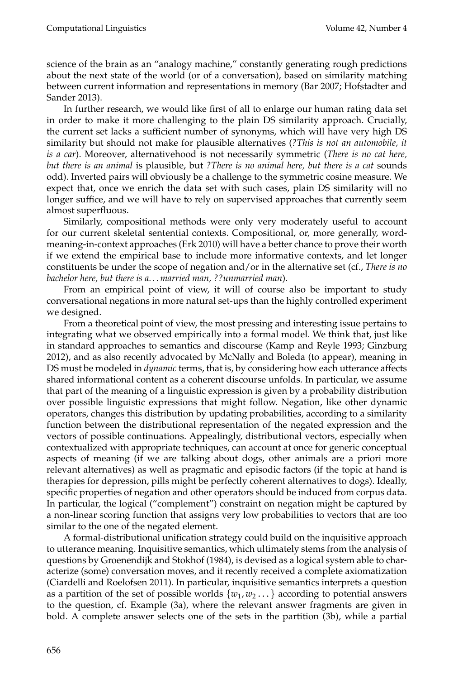science of the brain as an "analogy machine," constantly generating rough predictions about the next state of the world (or of a conversation), based on similarity matching between current information and representations in memory (Bar 2007; Hofstadter and Sander 2013).

In further research, we would like first of all to enlarge our human rating data set in order to make it more challenging to the plain DS similarity approach. Crucially, the current set lacks a sufficient number of synonyms, which will have very high DS similarity but should not make for plausible alternatives (*?This is not an automobile, it is a car*). Moreover, alternativehood is not necessarily symmetric (*There is no cat here, but there is an animal* is plausible, but *?There is no animal here, but there is a cat* sounds odd). Inverted pairs will obviously be a challenge to the symmetric cosine measure. We expect that, once we enrich the data set with such cases, plain DS similarity will no longer suffice, and we will have to rely on supervised approaches that currently seem almost superfluous.

Similarly, compositional methods were only very moderately useful to account for our current skeletal sentential contexts. Compositional, or, more generally, wordmeaning-in-context approaches (Erk 2010) will have a better chance to prove their worth if we extend the empirical base to include more informative contexts, and let longer constituents be under the scope of negation and/or in the alternative set (cf., *There is no bachelor here, but there is a. . . married man, ??unmarried man*).

From an empirical point of view, it will of course also be important to study conversational negations in more natural set-ups than the highly controlled experiment we designed.

From a theoretical point of view, the most pressing and interesting issue pertains to integrating what we observed empirically into a formal model. We think that, just like in standard approaches to semantics and discourse (Kamp and Reyle 1993; Ginzburg 2012), and as also recently advocated by McNally and Boleda (to appear), meaning in DS must be modeled in *dynamic* terms, that is, by considering how each utterance affects shared informational content as a coherent discourse unfolds. In particular, we assume that part of the meaning of a linguistic expression is given by a probability distribution over possible linguistic expressions that might follow. Negation, like other dynamic operators, changes this distribution by updating probabilities, according to a similarity function between the distributional representation of the negated expression and the vectors of possible continuations. Appealingly, distributional vectors, especially when contextualized with appropriate techniques, can account at once for generic conceptual aspects of meaning (if we are talking about dogs, other animals are a priori more relevant alternatives) as well as pragmatic and episodic factors (if the topic at hand is therapies for depression, pills might be perfectly coherent alternatives to dogs). Ideally, specific properties of negation and other operators should be induced from corpus data. In particular, the logical ("complement") constraint on negation might be captured by a non-linear scoring function that assigns very low probabilities to vectors that are too similar to the one of the negated element.

A formal-distributional unification strategy could build on the inquisitive approach to utterance meaning. Inquisitive semantics, which ultimately stems from the analysis of questions by Groenendijk and Stokhof (1984), is devised as a logical system able to characterize (some) conversation moves, and it recently received a complete axiomatization (Ciardelli and Roelofsen 2011). In particular, inquisitive semantics interprets a question as a partition of the set of possible worlds  $\{w_1,w_2\dots\}$  according to potential answers to the question, cf. Example (3a), where the relevant answer fragments are given in bold. A complete answer selects one of the sets in the partition (3b), while a partial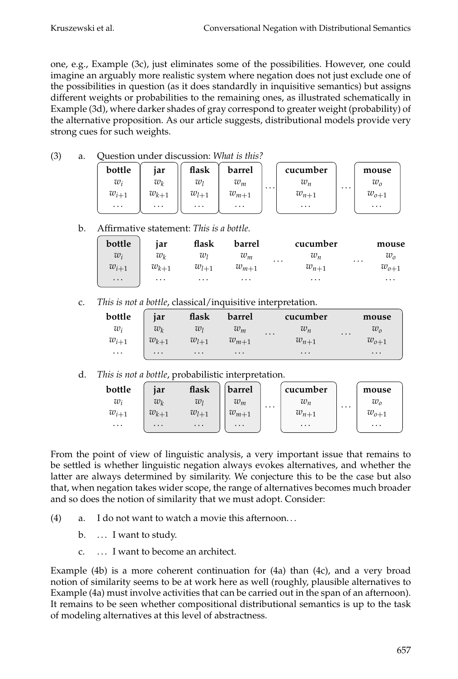one, e.g., Example (3c), just eliminates some of the possibilities. However, one could imagine an arguably more realistic system where negation does not just exclude one of the possibilities in question (as it does standardly in inquisitive semantics) but assigns different weights or probabilities to the remaining ones, as illustrated schematically in Example (3d), where darker shades of gray correspond to greater weight (probability) of the alternative proposition. As our article suggests, distributional models provide very strong cues for such weights.

(3) a. Question under discussion: *What is this?*

| bottle    | iar       | flask     | barrel    |          | cucumber  |          | mouse        |
|-----------|-----------|-----------|-----------|----------|-----------|----------|--------------|
| $w_i$     | $w_k$     | $w_l$     | $w_m$     | $\cdots$ | $w_n$     | $\cdots$ | $w_{\alpha}$ |
| $w_{i+1}$ | $w_{k+1}$ | $w_{l+1}$ | $w_{m+1}$ |          | $w_{n+1}$ |          | $w_{o+1}$    |
| $\cdots$  | $\cdots$  | $\cdots$  | $\cdots$  |          | $\cdots$  |          | $\cdots$     |

b. Affirmative statement: *This is a bottle.*

| bottle    | jar       | flask     | barrel    | cucumber                      | mouse        |
|-----------|-----------|-----------|-----------|-------------------------------|--------------|
| $w_i$     | $w_k$     | $w_{I}$   | $w_m$     | $w_n$<br>$\cdots$<br>$\cdots$ | $w_{\alpha}$ |
| $w_{i+1}$ | $w_{k+1}$ | $w_{l+1}$ | $w_{m+1}$ | $w_{n+1}$                     | $w_{o+1}$    |
| $\cdots$  | $\cdots$  | $\cdots$  | $\cdots$  | $\cdots$                      | $\cdots$     |

c. *This is not a bottle*, classical/inquisitive interpretation.

| bottle    | iar       | flask     | barrel    | cucumber         | mouse              |
|-----------|-----------|-----------|-----------|------------------|--------------------|
| $w_i$     | $w_k$     | $w_l$     | $w_m$     | $w_n$<br>$\cdot$ | $w_{o}$<br>$\cdot$ |
| $w_{i+1}$ | $w_{k+1}$ | $w_{l+1}$ | $w_{m+1}$ | $w_{n+1}$        | $w_{o+1}$          |
| $\cdots$  | $\cdots$  | $\cdots$  | $\cdots$  | $\ddots$         | $\ddotsc$          |

# d. *This is not a bottle*, probabilistic interpretation.

| bottle    | iar       | flask     | barrel    |          | cucumber  |          | mouse     |
|-----------|-----------|-----------|-----------|----------|-----------|----------|-----------|
| $w_i$     | $w_k$     | $w_l$     | $w_m$     | $\cdots$ | $w_n$     | $\cdots$ | $w_{o}$   |
| $w_{i+1}$ | $w_{k+1}$ | $w_{l+1}$ | $w_{m+1}$ |          | $w_{n+1}$ |          | $w_{o+1}$ |
| $\cdots$  | $\cdots$  | $\cdots$  | $\cdots$  |          | $\cdots$  |          | $\cdots$  |

From the point of view of linguistic analysis, a very important issue that remains to be settled is whether linguistic negation always evokes alternatives, and whether the latter are always determined by similarity. We conjecture this to be the case but also that, when negation takes wider scope, the range of alternatives becomes much broader and so does the notion of similarity that we must adopt. Consider:

- (4) a. I do not want to watch a movie this afternoon. . .
	- b. ... I want to study.
	- c. . . . I want to become an architect.

Example (4b) is a more coherent continuation for (4a) than (4c), and a very broad notion of similarity seems to be at work here as well (roughly, plausible alternatives to Example (4a) must involve activities that can be carried out in the span of an afternoon). It remains to be seen whether compositional distributional semantics is up to the task of modeling alternatives at this level of abstractness.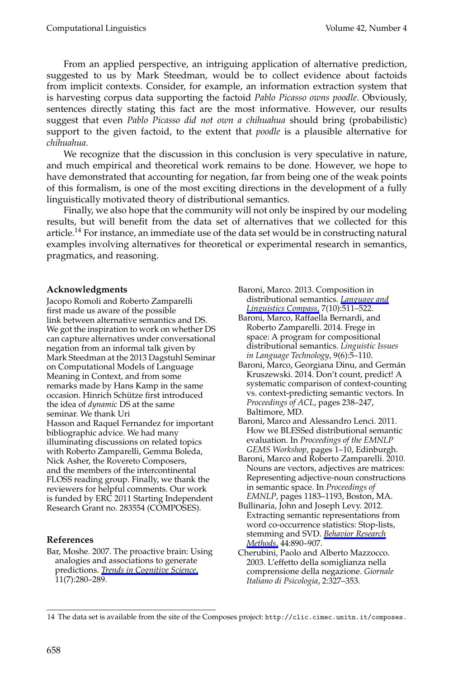From an applied perspective, an intriguing application of alternative prediction, suggested to us by Mark Steedman, would be to collect evidence about factoids from implicit contexts. Consider, for example, an information extraction system that is harvesting corpus data supporting the factoid *Pablo Picasso owns poodle*. Obviously, sentences directly stating this fact are the most informative. However, our results suggest that even *Pablo Picasso did not own a chihuahua* should bring (probabilistic) support to the given factoid, to the extent that *poodle* is a plausible alternative for *chihuahua*.

We recognize that the discussion in this conclusion is very speculative in nature, and much empirical and theoretical work remains to be done. However, we hope to have demonstrated that accounting for negation, far from being one of the weak points of this formalism, is one of the most exciting directions in the development of a fully linguistically motivated theory of distributional semantics.

Finally, we also hope that the community will not only be inspired by our modeling results, but will benefit from the data set of alternatives that we collected for this article.<sup>14</sup> For instance, an immediate use of the data set would be in constructing natural examples involving alternatives for theoretical or experimental research in semantics, pragmatics, and reasoning.

## **Acknowledgments**

Jacopo Romoli and Roberto Zamparelli first made us aware of the possible link between alternative semantics and DS. We got the inspiration to work on whether DS can capture alternatives under conversational negation from an informal talk given by Mark Steedman at the 2013 Dagstuhl Seminar on Computational Models of Language Meaning in Context, and from some remarks made by Hans Kamp in the same occasion. Hinrich Schütze first introduced the idea of *dynamic* DS at the same seminar. We thank Uri Hasson and Raquel Fernandez for important bibliographic advice. We had many illuminating discussions on related topics with Roberto Zamparelli, Gemma Boleda, Nick Asher, the Rovereto Composers, and the members of the intercontinental FLOSS reading group. Finally, we thank the reviewers for helpful comments. Our work is funded by ERC 2011 Starting Independent Research Grant no. 283554 (COMPOSES).

# **References**

Bar, Moshe. 2007. The proactive brain: Using analogies and associations to generate predictions. *[Trends in Cognitive Science](http://www.mitpressjournals.org/action/showLinks?crossref=10.1016%2Fj.tics.2007.05.005)*, 11(7):280–289.

Baroni, Marco. 2013. Composition in distributional semantics. *[Language and](http://www.mitpressjournals.org/action/showLinks?crossref=10.1111%2Flnc3.12050) [Linguistics Compass](http://www.mitpressjournals.org/action/showLinks?crossref=10.1111%2Flnc3.12050)*, 7(10):511–522.

- Baroni, Marco, Raffaella Bernardi, and Roberto Zamparelli. 2014. Frege in space: A program for compositional distributional semantics. *Linguistic Issues in Language Technology*, 9(6):5–110.
- Baroni, Marco, Georgiana Dinu, and Germán Kruszewski. 2014. Don't count, predict! A systematic comparison of context-counting vs. context-predicting semantic vectors. In *Proceedings of ACL*, pages 238–247, Baltimore, MD.
- Baroni, Marco and Alessandro Lenci. 2011. How we BLESSed distributional semantic evaluation. In *Proceedings of the EMNLP GEMS Workshop*, pages 1–10, Edinburgh.
- Baroni, Marco and Roberto Zamparelli. 2010. Nouns are vectors, adjectives are matrices: Representing adjective-noun constructions in semantic space. In *Proceedings of EMNLP*, pages 1183–1193, Boston, MA.
- Bullinaria, John and Joseph Levy. 2012. Extracting semantic representations from word co-occurrence statistics: Stop-lists, stemming and SVD. *[Behavior Research](http://www.mitpressjournals.org/action/showLinks?crossref=10.3758%2Fs13428-011-0183-8) [Methods](http://www.mitpressjournals.org/action/showLinks?crossref=10.3758%2Fs13428-011-0183-8)*, 44:890–907.
- Cherubini, Paolo and Alberto Mazzocco. 2003. L'effetto della somiglianza nella comprensione della negazione. *Giornale Italiano di Psicologia*, 2:327–353.

<sup>14</sup> The data set is available from the site of the Composes project: http://clic.cimec.unitn.it/composes.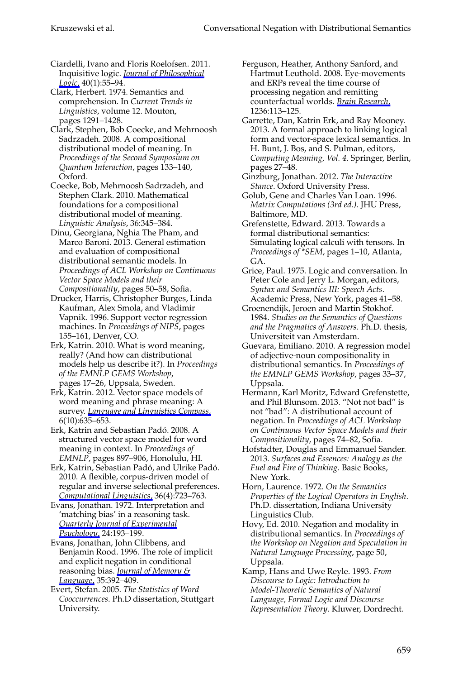Ciardelli, Ivano and Floris Roelofsen. 2011. Inquisitive logic. *[Journal of Philosophical](http://www.mitpressjournals.org/action/showLinks?crossref=10.1007%2Fs10992-010-9142-6) [Logic](http://www.mitpressjournals.org/action/showLinks?crossref=10.1007%2Fs10992-010-9142-6)*, 40(1):55–94.

Clark, Herbert. 1974. Semantics and comprehension. In *Current Trends in Linguistics*, volume 12. Mouton, pages 1291–1428.

Clark, Stephen, Bob Coecke, and Mehrnoosh Sadrzadeh. 2008. A compositional distributional model of meaning. In *Proceedings of the Second Symposium on Quantum Interaction*, pages 133–140, Oxford.

Coecke, Bob, Mehrnoosh Sadrzadeh, and Stephen Clark. 2010. Mathematical foundations for a compositional distributional model of meaning. *Linguistic Analysis*, 36:345–384.

Dinu, Georgiana, Nghia The Pham, and Marco Baroni. 2013. General estimation and evaluation of compositional distributional semantic models. In *Proceedings of ACL Workshop on Continuous Vector Space Models and their Compositionality*, pages 50–58, Sofia.

Drucker, Harris, Christopher Burges, Linda Kaufman, Alex Smola, and Vladimir Vapnik. 1996. Support vector regression machines. In *Proceedings of NIPS*, pages 155–161, Denver, CO.

Erk, Katrin. 2010. What is word meaning, really? (And how can distributional models help us describe it?). In *Proceedings of the EMNLP GEMS Workshop*, pages 17–26, Uppsala, Sweden.

Erk, Katrin. 2012. Vector space models of word meaning and phrase meaning: A survey. *[Language and Linguistics Compass](http://www.mitpressjournals.org/action/showLinks?crossref=10.1002%2Flnco.362)*, 6(10):635–653.

Erk, Katrin and Sebastian Padó. 2008. A structured vector space model for word meaning in context. In *Proceedings of EMNLP*, pages 897–906, Honolulu, HI.

Erk, Katrin, Sebastian Padó, and Ulrike Padó. 2010. A flexible, corpus-driven model of regular and inverse selectional preferences. *[Computational Linguistics](http://www.mitpressjournals.org/action/showLinks?system=10.1162%2Fcoli_a_00017)*, 36(4):723–763.

Evans, Jonathan. 1972. Interpretation and 'matching bias' in a reasoning task. *[Quarterly Journal of Experimental](http://www.mitpressjournals.org/action/showLinks?crossref=10.1080%2F00335557243000067) [Psychology](http://www.mitpressjournals.org/action/showLinks?crossref=10.1080%2F00335557243000067)*, 24:193–199.

Evans, Jonathan, John Clibbens, and Benjamin Rood. 1996. The role of implicit and explicit negation in conditional reasoning bias. *[Journal of Memory &](http://www.mitpressjournals.org/action/showLinks?crossref=10.1006%2Fjmla.1996.0022) [Language](http://www.mitpressjournals.org/action/showLinks?crossref=10.1006%2Fjmla.1996.0022)*, 35:392–409.

Evert, Stefan. 2005. *The Statistics of Word Cooccurrences*. Ph.D dissertation, Stuttgart University.

Ferguson, Heather, Anthony Sanford, and Hartmut Leuthold. 2008. Eye-movements and ERPs reveal the time course of processing negation and remitting counterfactual worlds. *[Brain Research](http://www.mitpressjournals.org/action/showLinks?crossref=10.1016%2Fj.brainres.2008.07.099)*, 1236:113–125.

Garrette, Dan, Katrin Erk, and Ray Mooney. 2013. A formal approach to linking logical form and vector-space lexical semantics. In H. Bunt, J. Bos, and S. Pulman, editors, *Computing Meaning, Vol. 4*. Springer, Berlin, pages 27–48.

Ginzburg, Jonathan. 2012. *The Interactive Stance*. Oxford University Press.

Golub, Gene and Charles Van Loan. 1996. *Matrix Computations (3rd ed.)*. JHU Press, Baltimore, MD.

Grefenstette, Edward. 2013. Towards a formal distributional semantics: Simulating logical calculi with tensors. In *Proceedings of \*SEM*, pages 1–10, Atlanta, GA.

Grice, Paul. 1975. Logic and conversation. In Peter Cole and Jerry L. Morgan, editors, *Syntax and Semantics III: Speech Acts*. Academic Press, New York, pages 41–58.

Groenendijk, Jeroen and Martin Stokhof. 1984. *Studies on the Semantics of Questions and the Pragmatics of Answers*. Ph.D. thesis, Universiteit van Amsterdam.

Guevara, Emiliano. 2010. A regression model of adjective-noun compositionality in distributional semantics. In *Proceedings of the EMNLP GEMS Workshop*, pages 33–37, Uppsala.

Hermann, Karl Moritz, Edward Grefenstette, and Phil Blunsom. 2013. "Not not bad" is not "bad": A distributional account of negation. In *Proceedings of ACL Workshop on Continuous Vector Space Models and their Compositionality*, pages 74–82, Sofia.

Hofstadter, Douglas and Emmanuel Sander. 2013. *Surfaces and Essences: Analogy as the Fuel and Fire of Thinking*. Basic Books, New York.

Horn, Laurence. 1972. *On the Semantics Properties of the Logical Operators in English*. Ph.D. dissertation, Indiana University Linguistics Club.

Hovy, Ed. 2010. Negation and modality in distributional semantics. In *Proceedings of the Workshop on Negation and Speculation in Natural Language Processing*, page 50, Uppsala.

Kamp, Hans and Uwe Reyle. 1993. *From Discourse to Logic: Introduction to Model-Theoretic Semantics of Natural Language, Formal Logic and Discourse Representation Theory*. Kluwer, Dordrecht.